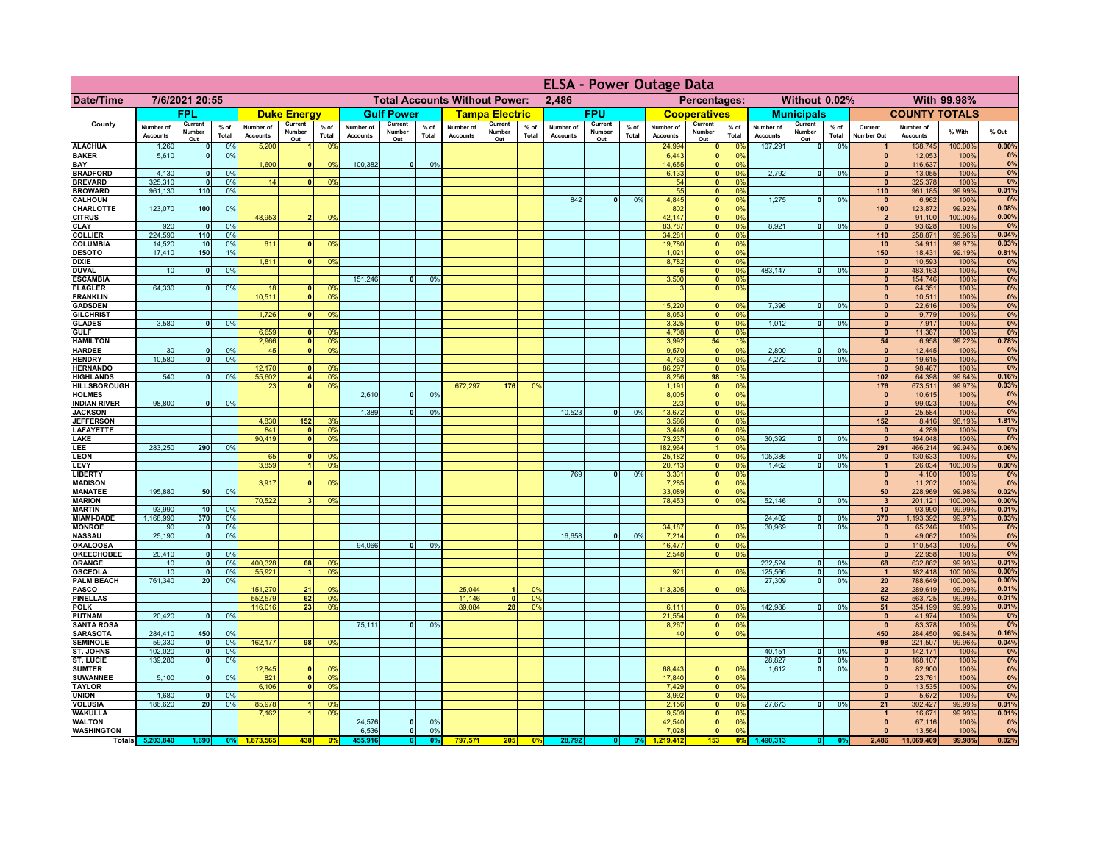|                                      |                              |                          |                 |                              |                                |                                  |                              |                                      |                      |                              |                          |                 | <b>ELSA - Power Outage Data</b> |                          |                 |                              |                          |                                            |                              |                                |                 |                                |                              |                   |                |
|--------------------------------------|------------------------------|--------------------------|-----------------|------------------------------|--------------------------------|----------------------------------|------------------------------|--------------------------------------|----------------------|------------------------------|--------------------------|-----------------|---------------------------------|--------------------------|-----------------|------------------------------|--------------------------|--------------------------------------------|------------------------------|--------------------------------|-----------------|--------------------------------|------------------------------|-------------------|----------------|
| <b>Date/Time</b>                     |                              | 7/6/2021 20:55           |                 |                              |                                |                                  |                              | <b>Total Accounts Without Power:</b> |                      |                              |                          |                 | 2.486                           |                          |                 |                              | Percentages:             |                                            |                              | Without 0.02%                  |                 |                                |                              | With 99.98%       |                |
|                                      |                              | <b>FPL</b>               |                 |                              | <b>Duke Energy</b>             |                                  |                              | <b>Gulf Power</b>                    |                      |                              | <b>Tampa Electric</b>    |                 |                                 | <b>FPU</b>               |                 |                              | <b>Cooperatives</b>      |                                            |                              | <b>Municipals</b>              |                 |                                | <b>COUNTY TOTALS</b>         |                   |                |
| County                               | Number of<br><b>Accounts</b> | Current<br>Number<br>Out | $%$ of<br>Total | Number of<br><b>Accounts</b> | Current<br>Number<br>Out       | $%$ of<br>Total                  | Number of<br><b>Accounts</b> | Current<br>Number<br>Out             | % of<br>Total        | Number of<br><b>Accounts</b> | Current<br>Number<br>Out | $%$ of<br>Total | Number of<br><b>Accounts</b>    | Current<br>Number<br>Out | $%$ of<br>Total | Number of<br><b>Accounts</b> | Current<br>Number<br>Out | $%$ of<br>Total                            | Number of<br><b>Accounts</b> | Current<br>Number<br>Out       | $%$ of<br>Total | Current<br><b>Number Out</b>   | Number of<br><b>Accounts</b> | % With            | % Out          |
| <b>ALACHUA</b>                       | 1,260                        | 0                        | 0%              | 5,200                        | $\blacksquare$                 | 0 <sup>9</sup>                   |                              |                                      |                      |                              |                          |                 |                                 |                          |                 | 24,994                       |                          | 0 <br>0%                                   | 107,291                      | $\overline{\bullet}$           | 0%              | $\overline{1}$                 | 138,745                      | 100.00%           | 0.00%          |
| <b>BAKER</b><br><b>BAY</b>           | 5,610                        | 0                        | 0%              | 1,600                        | 0                              | 0 <sup>9</sup>                   | 100,382                      | $\overline{0}$                       | 0%                   |                              |                          |                 |                                 |                          |                 | 6,443<br>14,655              | 0                        | 0%<br>0%<br> 0                             |                              |                                |                 | $\mathbf{0}$<br>$\mathbf{0}$   | 12,053<br>116,637            | 100%<br>100%      | 0%<br>0%       |
| <b>BRADFORD</b>                      | 4,130                        | $\mathbf{0}$             | 0%              |                              |                                |                                  |                              |                                      |                      |                              |                          |                 |                                 |                          |                 | 6,133                        |                          | 0 <br>0%                                   | 2,792                        | 0                              | 0%              | 0                              | 13,055                       | 100%              | 0%             |
| <b>BREVARD</b>                       | 325,310                      | $\bullet$                | 0%              | 14                           | 0                              | 0 <sup>9</sup>                   |                              |                                      |                      |                              |                          |                 |                                 |                          |                 | 54                           |                          | 0 <br>0%                                   |                              |                                |                 | $\Omega$                       | 325,378                      | 100%              | 0%             |
| <b>BROWARD</b><br><b>CALHOUN</b>     | 961,130                      | 110                      | 0%              |                              |                                |                                  |                              |                                      |                      |                              |                          |                 | 842                             | 0                        | 0%              | 55<br>4,845                  | 0                        | 0 <br>0%<br>0%                             | 1,275                        | 0                              | 0%              | 110<br>$\mathbf{0}$            | 961,185<br>6,962             | 99.99%<br>100%    | 0.01%<br>0%    |
| <b>CHARLOTTE</b>                     | 123,070                      | 100                      | 0%              |                              |                                |                                  |                              |                                      |                      |                              |                          |                 |                                 |                          |                 | 802                          | 0                        | 0%                                         |                              |                                |                 | 100                            | 123,872                      | 99.92%            | 0.08%          |
| <b>CITRUS</b><br>CLAY                | 920                          | $\mathbf{0}$             | 0%              | 48,953                       | $\overline{2}$                 | 0 <sup>9</sup>                   |                              |                                      |                      |                              |                          |                 |                                 |                          |                 | 42,147<br>83,787             | 0 <br> 0                 | 0%<br>0%                                   | 8,921                        | 0                              | 0%              | $\overline{2}$<br>$\mathbf{0}$ | 91,100<br>93,628             | 100.00%<br>100%   | 0.00%<br>0%    |
| <b>COLLIER</b>                       | 224,590                      | 110                      | 0%              |                              |                                |                                  |                              |                                      |                      |                              |                          |                 |                                 |                          |                 | 34,281                       | 0                        | 0%                                         |                              |                                |                 | 110                            | 258,871                      | 99.96%            | 0.04%          |
| COLUMBIA                             | 14,520                       | 10                       | 0%              | 611                          |                                | 0 <sup>9</sup>                   |                              |                                      |                      |                              |                          |                 |                                 |                          |                 | 19,780                       | $\mathbf{0}$             | 0%                                         |                              |                                |                 | 10                             | 34,911                       | 99.97%            | 0.03%          |
| <b>DESOTO</b><br><b>DIXIE</b>        | 17,410                       | 150                      | 1%              | 1,811                        | $\mathbf{0}$                   | 0 <sup>9</sup>                   |                              |                                      |                      |                              |                          |                 |                                 |                          |                 | 1,021<br>8,782               | 0 <br> 0                 | 0%<br>0%                                   |                              |                                |                 | 150<br>$\mathbf{0}$            | 18,431<br>10,593             | 99.19%<br>100%    | 0.81%<br>0%    |
| <b>DUVAL</b>                         | 10                           | $\mathbf 0$              | 0%              |                              |                                |                                  |                              |                                      |                      |                              |                          |                 |                                 |                          |                 |                              | 0                        | 0%                                         | 483,147                      | 0                              | 0%              | $\mathbf{0}$                   | 483,163                      | 100%              | 0%             |
| <b>ESCAMBIA</b>                      |                              |                          |                 |                              |                                |                                  | 151,246                      | 0                                    | 0 <sup>9</sup>       |                              |                          |                 |                                 |                          |                 | 3,500                        | 0                        | 0%                                         |                              |                                |                 | $\mathbf{0}$                   | 154,746                      | 100%              | 0%             |
| <b>FLAGLER</b><br><b>FRANKLIN</b>    | 64,330                       | 0                        | 0%              | 18<br>10,511                 | $\mathbf{0}$<br>$\overline{0}$ | 0 <sup>9</sup><br>0 <sup>9</sup> |                              |                                      |                      |                              |                          |                 |                                 |                          |                 |                              | 0                        | 0%                                         |                              |                                |                 | 0 <br>$\mathbf{0}$             | 64,351<br>10,511             | 100%<br>100%      | 0%<br>0%       |
| <b>GADSDEN</b>                       |                              |                          |                 |                              |                                |                                  |                              |                                      |                      |                              |                          |                 |                                 |                          |                 | 15,220                       | 0                        | 0%                                         | 7,396                        | -ol                            | 0%              | 0                              | 22,616                       | 100%              | 0%             |
| <b>GILCHRIST</b>                     |                              |                          |                 | 1.726                        | 0                              | 0 <sup>9</sup>                   |                              |                                      |                      |                              |                          |                 |                                 |                          |                 | 8,053                        | 0                        | 0%                                         |                              |                                |                 | $\overline{0}$                 | 9,779                        | 100%              | 0%             |
| <b>GLADES</b><br><b>GULF</b>         | 3,580                        | 0                        | 0%              | 6,659                        | 0                              | 0 <sup>9</sup>                   |                              |                                      |                      |                              |                          |                 |                                 |                          |                 | 3,325<br>4,708               | 0 <br> 0                 | 0%<br>0%                                   | 1,012                        | $\overline{0}$                 | 0%              | 0 <br>$\mathbf{0}$             | 7,917<br>11,367              | 100%<br>100%      | 0%<br>0%       |
| <b>HAMILTON</b>                      |                              |                          |                 | 2.966                        | $\overline{0}$                 | 0 <sup>9</sup>                   |                              |                                      |                      |                              |                          |                 |                                 |                          |                 | 3,992                        | 54                       | 1%                                         |                              |                                |                 | 54                             | 6,958                        | 99.22%            | 0.78%          |
| <b>HARDEE</b>                        | 30                           | 0                        | 0%              | 45                           |                                | $\overline{0}$<br>0 <sup>9</sup> |                              |                                      |                      |                              |                          |                 |                                 |                          |                 | 9,570                        |                          | $\overline{\mathbf{0}}$<br>0%              | 2,800                        | 0                              | 0%              | $\mathbf{0}$                   | 12,445                       | 100%              | 0%             |
| <b>HENDRY</b><br><b>HERNANDO</b>     | 10,580                       | $\mathbf{0}$             | 0 <sup>9</sup>  | 12,170                       | 0                              | 0 <sup>9</sup>                   |                              |                                      |                      |                              |                          |                 |                                 |                          |                 | 4,763<br>86,297              |                          | $\overline{\mathbf{0}}$<br>0%<br> 0 <br>0% | 4.272                        | $\overline{0}$                 | 0%              | 0 <br> 0                       | 19,615<br>98,467             | 100%<br>100%      | 0%<br>0%       |
| <b>HIGHLANDS</b>                     | 540                          | $\mathbf{0}$             | 0 <sup>9</sup>  | 55,602                       |                                | $\overline{4}$<br>0 <sup>9</sup> |                              |                                      |                      |                              |                          |                 |                                 |                          |                 | 8,256                        | 98                       | 1%                                         |                              |                                |                 | 102                            | 64,398                       | 99.84%            | 0.16%          |
| <b>HILLSBOROUGH</b>                  |                              |                          |                 | 23                           |                                | $\mathbf{0}$<br>0 <sup>9</sup>   |                              |                                      |                      | 672,297                      | 176                      | 0%              |                                 |                          |                 | 1,191                        |                          | 0 <br>0%                                   |                              |                                |                 | 176                            | 673,511                      | 99.97%            | 0.03%          |
| <b>HOLMES</b><br><b>INDIAN RIVER</b> | 98,800                       | 0                        | 0%              |                              |                                |                                  | 2,610                        | $\Omega$                             | 0 <sup>9</sup>       |                              |                          |                 |                                 |                          |                 | 8,005                        |                          | 0 <br>0%<br> 0 <br>0%                      |                              |                                |                 | $\mathbf{0}$<br> 0             | 10,615                       | 100%<br>100%      | 0%<br>0%       |
| <b>JACKSON</b>                       |                              |                          |                 |                              |                                |                                  | 1,389                        | n l                                  | 0 <sup>9</sup>       |                              |                          |                 | 10,523                          | $\mathbf{0}$             | 0%              | 223<br>13,672                |                          | 0 <br>0%                                   |                              |                                |                 | 0                              | 99,023<br>25,584             | 100%              | 0%             |
| <b>JEFFERSON</b>                     |                              |                          |                 | 4,830                        | 152                            | 3 <sup>9</sup>                   |                              |                                      |                      |                              |                          |                 |                                 |                          |                 | 3,586                        |                          | 0 <br>0%                                   |                              |                                |                 | 152                            | 8,416                        | 98.19%            | 1.81%          |
| <b>LAFAYETTE</b><br>LAKE             |                              |                          |                 | 841<br>90,419                | $\mathbf{0}$<br>$\Omega$       | 0 <sup>9</sup><br>0 <sup>9</sup> |                              |                                      |                      |                              |                          |                 |                                 |                          |                 | 3,448<br>73,237              |                          | 0 <br>0%<br> 0 <br>0%                      | 30,392                       | $\mathbf{0}$                   | 0%              | 0 <br> 0                       | 4,289<br>194,048             | 100%<br>100%      | 0%<br>0%       |
| LEE                                  | 283,250                      | 290                      | 0%              |                              |                                |                                  |                              |                                      |                      |                              |                          |                 |                                 |                          |                 | 182,964                      |                          | 1<br>0%                                    |                              |                                |                 | 291                            | 466,214                      | 99.94%            | 0.06%          |
| <b>LEON</b>                          |                              |                          |                 | 65                           | $\Omega$                       | $^{\circ}$                       |                              |                                      |                      |                              |                          |                 |                                 |                          |                 | 25,182                       |                          | 0 <br>0%                                   | 105,386                      | $\overline{\mathbf{0}}$        | 0%              | 0                              | 130,633                      | 100%              | 0%             |
| LEVY<br>LIBERTY                      |                              |                          |                 | 3,859                        | $\blacksquare$                 | 0 <sup>9</sup>                   |                              |                                      |                      |                              |                          |                 | 769                             | $\mathbf{0}$             | 0%              | 20,713                       | 0                        | 0 <br>0%<br>0%                             | 1,462                        | - O I                          | 0%              | $\vert$ 1<br> 0                | 26,034<br>4,100              | 100.00%<br>100%   | 0.00%<br>0%    |
| <b>MADISON</b>                       |                              |                          |                 | 3,917                        | $\Omega$                       | 0 <sup>9</sup>                   |                              |                                      |                      |                              |                          |                 |                                 |                          |                 | 3,331<br>7,285               |                          | 0%<br> 0                                   |                              |                                |                 | 0                              | 11,202                       | 100%              | 0%             |
| <b>MANATEE</b>                       | 195,880                      | 50                       | 0%              |                              |                                |                                  |                              |                                      |                      |                              |                          |                 |                                 |                          |                 | 33,089                       |                          | 0%<br> 0                                   |                              |                                |                 | 50 <sub>1</sub>                | 228,969                      | 99.98%            | 0.02%          |
| <b>MARION</b><br><b>MARTIN</b>       | 93,990                       | 10                       | 0%              | 70,522                       | 3 <sup>1</sup>                 | 0 <sup>9</sup>                   |                              |                                      |                      |                              |                          |                 |                                 |                          |                 | 78,453                       |                          | 0%<br> 0                                   | 52,146                       | ol                             | 0%              | 3 <br>10 <sup>1</sup>          | 201,121<br>93,990            | 100.00%<br>99.99% | 0.00%<br>0.01% |
| <b>MIAMI-DADE</b>                    | 1,168,990                    | 370                      | 0%              |                              |                                |                                  |                              |                                      |                      |                              |                          |                 |                                 |                          |                 |                              |                          |                                            | 24,402                       | $\overline{\mathbf{0}}$        | 0%              | 370                            | 1,193,392                    | 99.97%            | 0.03%          |
| <b>MONROE</b>                        | 90                           | 0                        | 0%              |                              |                                |                                  |                              |                                      |                      |                              |                          |                 |                                 |                          |                 | 34,187                       | 0                        | $\Omega$ %                                 | 30.969                       | - O I                          | 0%              | 0                              | 65,246                       | 100%              | 0%             |
| <b>NASSAU</b><br><b>OKALOOSA</b>     | 25,190                       | 0                        | 0%              |                              |                                |                                  | 94,066                       | 0                                    | 0%                   |                              |                          |                 | 16,658                          | 0                        | 0%              | 7,214<br>16,477              | 0                        | 0%<br>0%                                   |                              |                                |                 | 0                              | 49,062<br>110,543            | 100%<br>100%      | 0%<br>0%       |
| <b>OKEECHOBEE</b>                    | 20,410                       | 0                        | 0%              |                              |                                |                                  |                              |                                      |                      |                              |                          |                 |                                 |                          |                 | 2,548                        |                          | 0 <br>0%<br> 0                             |                              |                                |                 | 0 <br> 0                       | 22,958                       | 100%              | 0%             |
| ORANGE                               | 10                           | 0                        | 0%              | 400,328                      | 68                             | 0 <sup>9</sup>                   |                              |                                      |                      |                              |                          |                 |                                 |                          |                 |                              |                          |                                            | 232,524                      | 0                              | 0%              | 68                             | 632,862                      | 99.99%            | 0.01%          |
| OSCEOLA                              | 10<br>761,340                | 0 <br>20 <sup>1</sup>    | 0%<br>0%        | 55,92'                       | $\vert$ 1                      | 0 <sup>9</sup>                   |                              |                                      |                      |                              |                          |                 |                                 |                          |                 | 921                          |                          | 0 <br>0%                                   | 125,566<br>27,309            | 0 <br>$\overline{\phantom{0}}$ | 0%<br>0%        | $\vert$ 1                      | 182,418                      | 100.00%           | 0.00%<br>0.00% |
| <b>PALM BEACH</b><br><b>PASCO</b>    |                              |                          |                 | 151,270                      | 21                             | 0 <sup>9</sup>                   |                              |                                      |                      | 25,044                       |                          | 0%              |                                 |                          |                 | 113,305                      |                          | 0 <br>0%                                   |                              |                                |                 | 20 <sup>1</sup><br>22          | 788,649<br>289,619           | 100.00%<br>99.99% | 0.01%          |
| <b>PINELLAS</b>                      |                              |                          |                 | 552,579                      | 62                             | 0 <sup>9</sup>                   |                              |                                      |                      | 11,146                       | $\mathbf{0}$             | 0%              |                                 |                          |                 |                              |                          |                                            |                              |                                |                 | 62                             | 563,725                      | 99.99%            | 0.01%          |
| <b>POLK</b>                          |                              |                          |                 | 116,016                      | 23 <sup>1</sup>                | 0 <sup>9</sup>                   |                              |                                      |                      | 89,084                       | 28                       | 0%              |                                 |                          |                 | 6,111                        |                          | 0 <br>nº                                   | 142,988                      | 0                              | 0%              | 51                             | 354,199                      | 99.99%            | 0.01%          |
| PUTNAM<br><b>SANTA ROSA</b>          | 20,420                       | 0                        | 0%              |                              |                                |                                  | 75,111                       | 0                                    | 0%                   |                              |                          |                 |                                 |                          |                 | 21,554<br>8,267              |                          | 0 <br>0%<br> 0 <br>0%                      |                              |                                |                 | 0 <br> 0                       | 41,974<br>83,378             | 100%<br>100%      | 0%<br>0%       |
| <b>SARASOTA</b>                      | 284,410                      | 450                      | 0%              |                              |                                |                                  |                              |                                      |                      |                              |                          |                 |                                 |                          |                 | 40                           |                          | 0 <br>0%                                   |                              |                                |                 | 450                            | 284,450                      | 99.84%            | 0.16%          |
| <b>SEMINOLE</b><br>ST. JOHNS         | 59,330<br>102,020            | $\mathbf{0}$<br> 0       | 0%<br>0%        | 162,177                      | 98                             | 0 <sup>9</sup>                   |                              |                                      |                      |                              |                          |                 |                                 |                          |                 |                              |                          |                                            | 40,151                       | 0                              | 0%              | 98<br> 0                       | 221,507<br>142,171           | 99.96%<br>100%    | 0.04%<br>0%    |
| <b>ST. LUCIE</b>                     | 139,280                      | $\mathbf{0}$             | 0%              |                              |                                |                                  |                              |                                      |                      |                              |                          |                 |                                 |                          |                 |                              |                          |                                            | 28,827                       | 0                              | 0%              | 0                              | 168,107                      | 100%              | 0%             |
| <b>SUMTER</b>                        |                              |                          |                 | 12,845                       |                                | $\Omega$                         |                              |                                      |                      |                              |                          |                 |                                 |                          |                 | 68,443                       | 0                        | 0 <sup>9</sup>                             | 1,612                        | -ol                            | 0%              | 0                              | 82,900                       | 100%              | 0%             |
| <b>SUWANNEE</b>                      | 5,100                        | 0                        | 0%              | 821                          | $\mathbf{0}$<br>$\mathbf{0}$   | 0 <sup>9</sup>                   |                              |                                      |                      |                              |                          |                 |                                 |                          |                 | 17,840<br>7,429              | 0                        | 0%<br>0%                                   |                              |                                |                 | 0 <br>$\mathbf{0}$             | 23,761                       | 100%              | 0%             |
| <b>TAYLOR</b><br><b>UNION</b>        | 1,680                        | 0                        | 0 <sup>9</sup>  | 6,106                        |                                | 0 <sup>9</sup>                   |                              |                                      |                      |                              |                          |                 |                                 |                          |                 | 3,992                        | 0 <br> 0                 | 0%                                         |                              |                                |                 | $\mathbf{0}$                   | 13,535<br>5,672              | 100%<br>100%      | 0%<br>0%       |
| <b>VOLUSIA</b>                       | 186,620                      | 20 <sup>1</sup>          | 0%              | 85,978                       |                                | 0 <sup>9</sup>                   |                              |                                      |                      |                              |                          |                 |                                 |                          |                 | 2,156                        | 0                        | 0%                                         | 27,673                       | 0                              | 0%              | 21                             | 302,427                      | 99.99%            | 0.01%          |
| <b>WAKULLA</b><br><b>WALTON</b>      |                              |                          |                 | 7,162                        |                                | 0 <sup>9</sup>                   | 24,576                       |                                      |                      |                              |                          |                 |                                 |                          |                 | 9,509<br>42,540              | 0 <br> 0                 | 0%<br>0%                                   |                              |                                |                 | $\overline{1}$<br> 0           | 16,671<br>67,116             | 99.99%<br>100%    | 0.01%          |
| <b>WASHINGTON</b>                    |                              |                          |                 |                              |                                |                                  | 6,536                        | 0 <br> 0                             | 0 <sup>9</sup><br>0% |                              |                          |                 |                                 |                          |                 | 7,028                        | $\overline{\mathbf{0}}$  | 0%                                         |                              |                                |                 | 0                              | 13,564                       | 100%              | 0%<br>0%       |
|                                      | Totals 5,203,840             | 1,690                    | O°              | 1873565                      | 438                            | n                                | 455.916                      | 0                                    | 0 <sup>9</sup>       | 797,571                      | 205                      | 0%              | 28,792                          | 0                        | 0%              | 1.219.412                    | 153                      | 0%                                         | 1,490,313                    |                                |                 | 2,486                          | 11,069,409                   | 99.98%            | 0.02%          |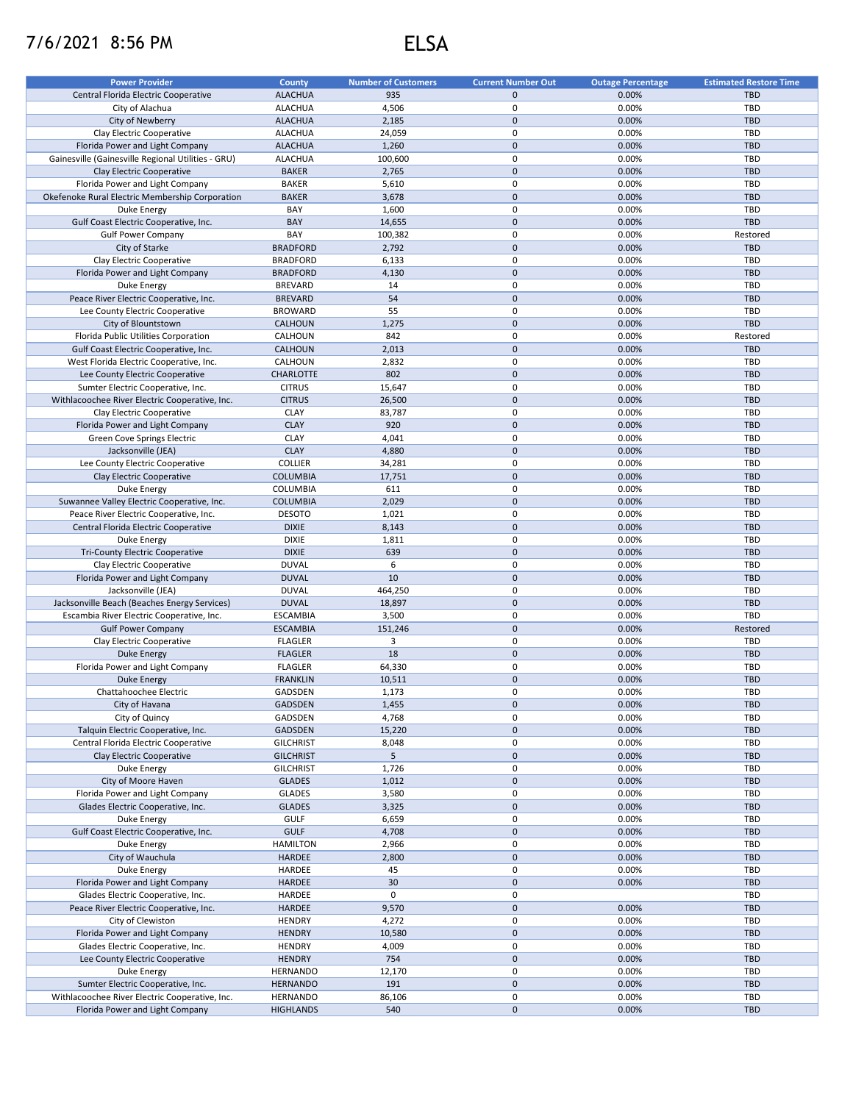## 7/6/2021 8:56 PM ELSA

| <b>Power Provider</b>                              | <b>County</b>    | <b>Number of Customers</b> | <b>Current Number Out</b> | <b>Outage Percentage</b> | <b>Estimated Restore Time</b> |
|----------------------------------------------------|------------------|----------------------------|---------------------------|--------------------------|-------------------------------|
| Central Florida Electric Cooperative               | <b>ALACHUA</b>   | 935                        | $\mathbf{0}$              | 0.00%                    | <b>TBD</b>                    |
|                                                    |                  |                            |                           |                          |                               |
| City of Alachua                                    | <b>ALACHUA</b>   | 4,506                      | 0                         | 0.00%                    | TBD                           |
| City of Newberry                                   | <b>ALACHUA</b>   | 2,185                      | $\pmb{0}$                 | 0.00%                    | <b>TBD</b>                    |
| Clay Electric Cooperative                          | <b>ALACHUA</b>   | 24,059                     | 0                         | 0.00%                    | <b>TBD</b>                    |
| Florida Power and Light Company                    | <b>ALACHUA</b>   | 1,260                      | $\pmb{0}$                 | 0.00%                    | <b>TBD</b>                    |
| Gainesville (Gainesville Regional Utilities - GRU) | <b>ALACHUA</b>   | 100,600                    | 0                         | 0.00%                    | TBD                           |
| Clay Electric Cooperative                          | <b>BAKER</b>     | 2,765                      | $\mathbf{0}$              | 0.00%                    | <b>TBD</b>                    |
|                                                    | <b>BAKER</b>     |                            | 0                         | 0.00%                    | TBD                           |
| Florida Power and Light Company                    |                  | 5,610                      |                           |                          |                               |
| Okefenoke Rural Electric Membership Corporation    | <b>BAKER</b>     | 3,678                      | $\pmb{0}$                 | 0.00%                    | <b>TBD</b>                    |
| Duke Energy                                        | BAY              | 1,600                      | 0                         | 0.00%                    | TBD                           |
| Gulf Coast Electric Cooperative, Inc.              | <b>BAY</b>       | 14,655                     | $\mathbf 0$               | 0.00%                    | <b>TBD</b>                    |
| <b>Gulf Power Company</b>                          | BAY              | 100,382                    | 0                         | 0.00%                    | Restored                      |
| City of Starke                                     | <b>BRADFORD</b>  | 2,792                      | $\pmb{0}$                 | 0.00%                    | <b>TBD</b>                    |
|                                                    |                  |                            |                           |                          |                               |
| Clay Electric Cooperative                          | <b>BRADFORD</b>  | 6,133                      | 0                         | 0.00%                    | TBD                           |
| Florida Power and Light Company                    | <b>BRADFORD</b>  | 4,130                      | $\pmb{0}$                 | 0.00%                    | <b>TBD</b>                    |
| Duke Energy                                        | <b>BREVARD</b>   | 14                         | 0                         | 0.00%                    | TBD                           |
| Peace River Electric Cooperative, Inc.             | <b>BREVARD</b>   | 54                         | $\pmb{0}$                 | 0.00%                    | <b>TBD</b>                    |
| Lee County Electric Cooperative                    | <b>BROWARD</b>   | 55                         | 0                         | 0.00%                    | TBD                           |
| City of Blountstown                                | CALHOUN          | 1,275                      | $\mathbf 0$               | 0.00%                    | <b>TBD</b>                    |
|                                                    |                  |                            |                           |                          |                               |
| Florida Public Utilities Corporation               | CALHOUN          | 842                        | 0                         | 0.00%                    | Restored                      |
| Gulf Coast Electric Cooperative, Inc.              | CALHOUN          | 2,013                      | $\pmb{0}$                 | 0.00%                    | <b>TBD</b>                    |
| West Florida Electric Cooperative, Inc.            | CALHOUN          | 2,832                      | 0                         | 0.00%                    | TBD                           |
| Lee County Electric Cooperative                    | <b>CHARLOTTE</b> | 802                        | $\pmb{0}$                 | 0.00%                    | <b>TBD</b>                    |
| Sumter Electric Cooperative, Inc.                  | <b>CITRUS</b>    | 15,647                     | $\mathbf 0$               | 0.00%                    | TBD                           |
|                                                    |                  |                            | $\pmb{0}$                 |                          |                               |
| Withlacoochee River Electric Cooperative, Inc.     | <b>CITRUS</b>    | 26,500                     |                           | 0.00%                    | <b>TBD</b>                    |
| Clay Electric Cooperative                          | <b>CLAY</b>      | 83,787                     | 0                         | 0.00%                    | TBD                           |
| Florida Power and Light Company                    | <b>CLAY</b>      | 920                        | $\pmb{0}$                 | 0.00%                    | <b>TBD</b>                    |
| Green Cove Springs Electric                        | <b>CLAY</b>      | 4,041                      | 0                         | 0.00%                    | <b>TBD</b>                    |
| Jacksonville (JEA)                                 | <b>CLAY</b>      | 4,880                      | $\pmb{0}$                 | 0.00%                    | <b>TBD</b>                    |
|                                                    | <b>COLLIER</b>   |                            | 0                         |                          | TBD                           |
| Lee County Electric Cooperative                    |                  | 34,281                     |                           | 0.00%                    |                               |
| Clay Electric Cooperative                          | <b>COLUMBIA</b>  | 17,751                     | $\pmb{0}$                 | 0.00%                    | <b>TBD</b>                    |
| Duke Energy                                        | COLUMBIA         | 611                        | 0                         | 0.00%                    | <b>TBD</b>                    |
| Suwannee Valley Electric Cooperative, Inc.         | <b>COLUMBIA</b>  | 2,029                      | $\pmb{0}$                 | 0.00%                    | <b>TBD</b>                    |
| Peace River Electric Cooperative, Inc.             | <b>DESOTO</b>    | 1,021                      | 0                         | 0.00%                    | TBD                           |
| Central Florida Electric Cooperative               | <b>DIXIE</b>     | 8,143                      | $\pmb{0}$                 | 0.00%                    | <b>TBD</b>                    |
|                                                    |                  |                            |                           |                          |                               |
| Duke Energy                                        | <b>DIXIE</b>     | 1,811                      | $\mathbf 0$               | 0.00%                    | TBD                           |
| Tri-County Electric Cooperative                    | <b>DIXIE</b>     | 639                        | $\pmb{0}$                 | 0.00%                    | <b>TBD</b>                    |
| Clay Electric Cooperative                          | <b>DUVAL</b>     | 6                          | 0                         | 0.00%                    | TBD                           |
| Florida Power and Light Company                    | <b>DUVAL</b>     | 10                         | $\pmb{0}$                 | 0.00%                    | <b>TBD</b>                    |
| Jacksonville (JEA)                                 | <b>DUVAL</b>     | 464,250                    | $\mathbf 0$               | 0.00%                    | TBD                           |
|                                                    | <b>DUVAL</b>     |                            | $\pmb{0}$                 |                          |                               |
| Jacksonville Beach (Beaches Energy Services)       |                  | 18,897                     |                           | 0.00%                    | <b>TBD</b>                    |
| Escambia River Electric Cooperative, Inc.          | <b>ESCAMBIA</b>  | 3,500                      | 0                         | 0.00%                    | TBD                           |
| <b>Gulf Power Company</b>                          | <b>ESCAMBIA</b>  | 151,246                    | $\mathbf 0$               | 0.00%                    | Restored                      |
| Clay Electric Cooperative                          | <b>FLAGLER</b>   | 3                          | 0                         | 0.00%                    | TBD                           |
| <b>Duke Energy</b>                                 | <b>FLAGLER</b>   | 18                         | $\mathbf 0$               | 0.00%                    | <b>TBD</b>                    |
| Florida Power and Light Company                    | <b>FLAGLER</b>   | 64,330                     | $\pmb{0}$                 | 0.00%                    | TBD                           |
|                                                    |                  |                            |                           |                          |                               |
| <b>Duke Energy</b>                                 | <b>FRANKLIN</b>  | 10,511                     | $\pmb{0}$                 | 0.00%                    | <b>TBD</b>                    |
| Chattahoochee Electric                             | GADSDEN          | 1,173                      | $\pmb{0}$                 | 0.00%                    | TBD                           |
| City of Havana                                     | GADSDEN          | 1,455                      | $\pmb{0}$                 | 0.00%                    | <b>TBD</b>                    |
| City of Quincy                                     | GADSDEN          | 4,768                      | 0                         | 0.00%                    | <b>TBD</b>                    |
| Talquin Electric Cooperative, Inc.                 | GADSDEN          | 15,220                     | $\mathbf 0$               | 0.00%                    | <b>TBD</b>                    |
|                                                    |                  |                            | $\pmb{0}$                 | 0.00%                    | TBD                           |
| Central Florida Electric Cooperative               | <b>GILCHRIST</b> | 8,048                      |                           |                          |                               |
| Clay Electric Cooperative                          | <b>GILCHRIST</b> | 5                          | $\pmb{0}$                 | 0.00%                    | <b>TBD</b>                    |
| Duke Energy                                        | <b>GILCHRIST</b> | 1,726                      | $\pmb{0}$                 | 0.00%                    | TBD                           |
| City of Moore Haven                                | <b>GLADES</b>    | 1,012                      | $\pmb{0}$                 | 0.00%                    | <b>TBD</b>                    |
| Florida Power and Light Company                    | <b>GLADES</b>    | 3,580                      | 0                         | 0.00%                    | TBD                           |
| Glades Electric Cooperative, Inc.                  | <b>GLADES</b>    | 3,325                      | $\pmb{0}$                 | 0.00%                    | <b>TBD</b>                    |
|                                                    |                  |                            |                           |                          |                               |
| Duke Energy                                        | GULF             | 6,659                      | 0                         | 0.00%                    | <b>TBD</b>                    |
| Gulf Coast Electric Cooperative, Inc.              | <b>GULF</b>      | 4,708                      | $\pmb{0}$                 | 0.00%                    | <b>TBD</b>                    |
| Duke Energy                                        | <b>HAMILTON</b>  | 2,966                      | 0                         | 0.00%                    | TBD                           |
| City of Wauchula                                   | HARDEE           | 2,800                      | $\pmb{0}$                 | 0.00%                    | <b>TBD</b>                    |
| Duke Energy                                        | HARDEE           | 45                         | 0                         | 0.00%                    | TBD                           |
| Florida Power and Light Company                    | HARDEE           | 30                         | $\mathbf 0$               | 0.00%                    | <b>TBD</b>                    |
|                                                    |                  |                            |                           |                          |                               |
| Glades Electric Cooperative, Inc.                  | HARDEE           | 0                          | 0                         |                          | TBD                           |
| Peace River Electric Cooperative, Inc.             | HARDEE           | 9,570                      | $\pmb{0}$                 | 0.00%                    | TBD                           |
| City of Clewiston                                  | <b>HENDRY</b>    | 4,272                      | 0                         | 0.00%                    | TBD                           |
| Florida Power and Light Company                    | <b>HENDRY</b>    | 10,580                     | $\mathbf 0$               | 0.00%                    | TBD                           |
| Glades Electric Cooperative, Inc.                  | <b>HENDRY</b>    | 4,009                      | 0                         | 0.00%                    | TBD                           |
|                                                    |                  |                            |                           |                          |                               |
| Lee County Electric Cooperative                    | <b>HENDRY</b>    | 754                        | $\mathbf 0$               | 0.00%                    | <b>TBD</b>                    |
| Duke Energy                                        | HERNANDO         | 12,170                     | 0                         | 0.00%                    | TBD                           |
| Sumter Electric Cooperative, Inc.                  | <b>HERNANDO</b>  | 191                        | $\pmb{0}$                 | 0.00%                    | <b>TBD</b>                    |
| Withlacoochee River Electric Cooperative, Inc.     | HERNANDO         | 86,106                     | 0                         | 0.00%                    | TBD                           |
| Florida Power and Light Company                    | <b>HIGHLANDS</b> | 540                        | $\mathsf{O}\xspace$       | 0.00%                    | TBD                           |
|                                                    |                  |                            |                           |                          |                               |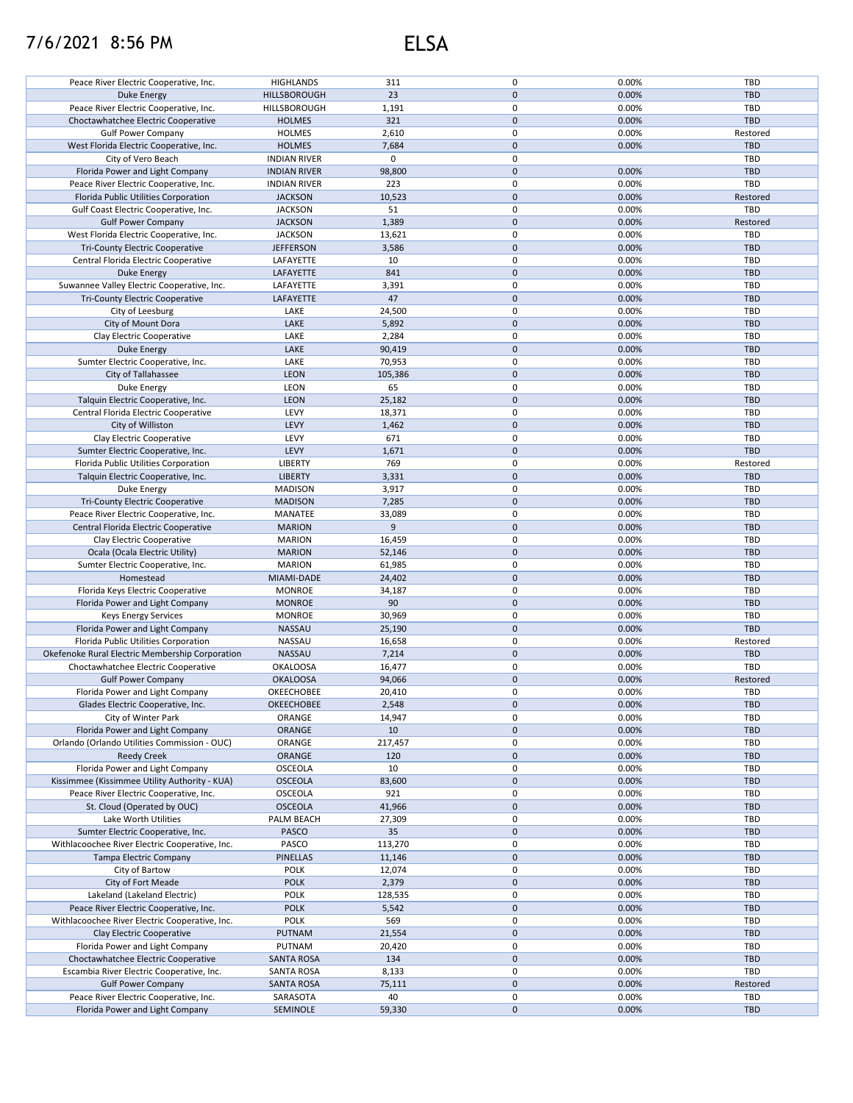## 7/6/2021 8:56 PM ELSA

| Peace River Electric Cooperative, Inc.          | <b>HIGHLANDS</b>    | 311         | 0            | 0.00% | <b>TBD</b> |
|-------------------------------------------------|---------------------|-------------|--------------|-------|------------|
|                                                 |                     |             |              |       |            |
| Duke Energy                                     | <b>HILLSBOROUGH</b> | 23          | $\mathbf{0}$ | 0.00% | <b>TBD</b> |
| Peace River Electric Cooperative, Inc.          | HILLSBOROUGH        | 1,191       | 0            | 0.00% | TBD        |
| Choctawhatchee Electric Cooperative             | <b>HOLMES</b>       | 321         | $\pmb{0}$    | 0.00% | <b>TBD</b> |
| <b>Gulf Power Company</b>                       | <b>HOLMES</b>       | 2,610       | 0            | 0.00% | Restored   |
|                                                 |                     |             |              |       |            |
| West Florida Electric Cooperative, Inc.         | <b>HOLMES</b>       | 7,684       | $\pmb{0}$    | 0.00% | <b>TBD</b> |
| City of Vero Beach                              | <b>INDIAN RIVER</b> | $\mathbf 0$ | 0            |       | TBD        |
| Florida Power and Light Company                 | <b>INDIAN RIVER</b> | 98,800      | $\pmb{0}$    | 0.00% | <b>TBD</b> |
|                                                 |                     | 223         | 0            |       | TBD        |
| Peace River Electric Cooperative, Inc.          | <b>INDIAN RIVER</b> |             |              | 0.00% |            |
| Florida Public Utilities Corporation            | <b>JACKSON</b>      | 10,523      | $\pmb{0}$    | 0.00% | Restored   |
| Gulf Coast Electric Cooperative, Inc.           | <b>JACKSON</b>      | 51          | 0            | 0.00% | TBD        |
| <b>Gulf Power Company</b>                       | <b>JACKSON</b>      | 1,389       | $\pmb{0}$    | 0.00% | Restored   |
| West Florida Electric Cooperative, Inc.         | <b>JACKSON</b>      | 13,621      | 0            | 0.00% | <b>TBD</b> |
|                                                 |                     |             |              |       |            |
| <b>Tri-County Electric Cooperative</b>          | <b>JEFFERSON</b>    | 3,586       | $\pmb{0}$    | 0.00% | <b>TBD</b> |
| Central Florida Electric Cooperative            | LAFAYETTE           | 10          | 0            | 0.00% | TBD        |
| Duke Energy                                     | LAFAYETTE           | 841         | $\pmb{0}$    | 0.00% | <b>TBD</b> |
| Suwannee Valley Electric Cooperative, Inc.      | LAFAYETTE           | 3,391       | 0            | 0.00% | TBD        |
|                                                 |                     |             |              |       |            |
| <b>Tri-County Electric Cooperative</b>          | LAFAYETTE           | 47          | $\pmb{0}$    | 0.00% | <b>TBD</b> |
| City of Leesburg                                | LAKE                | 24,500      | 0            | 0.00% | TBD        |
| City of Mount Dora                              | LAKE                | 5,892       | $\pmb{0}$    | 0.00% | <b>TBD</b> |
| Clay Electric Cooperative                       | LAKE                | 2,284       | 0            | 0.00% | TBD        |
|                                                 |                     |             |              |       |            |
| <b>Duke Energy</b>                              | LAKE                | 90,419      | $\mathbf 0$  | 0.00% | <b>TBD</b> |
| Sumter Electric Cooperative, Inc.               | LAKE                | 70,953      | 0            | 0.00% | <b>TBD</b> |
| City of Tallahassee                             | LEON                | 105,386     | $\mathbf 0$  | 0.00% | <b>TBD</b> |
| Duke Energy                                     | LEON                | 65          | 0            | 0.00% | <b>TBD</b> |
|                                                 |                     |             |              |       |            |
| Talquin Electric Cooperative, Inc.              | LEON                | 25,182      | $\pmb{0}$    | 0.00% | <b>TBD</b> |
| Central Florida Electric Cooperative            | LEVY                | 18,371      | 0            | 0.00% | TBD        |
| City of Williston                               | LEVY                | 1,462       | $\mathbf 0$  | 0.00% | <b>TBD</b> |
| Clay Electric Cooperative                       | LEVY                | 671         | 0            | 0.00% | TBD        |
|                                                 |                     |             |              |       |            |
| Sumter Electric Cooperative, Inc.               | LEVY                | 1,671       | $\pmb{0}$    | 0.00% | <b>TBD</b> |
| Florida Public Utilities Corporation            | <b>LIBERTY</b>      | 769         | 0            | 0.00% | Restored   |
| Talquin Electric Cooperative, Inc.              | <b>LIBERTY</b>      | 3,331       | $\pmb{0}$    | 0.00% | <b>TBD</b> |
| Duke Energy                                     | <b>MADISON</b>      | 3,917       | 0            | 0.00% | TBD        |
|                                                 |                     |             |              |       |            |
| <b>Tri-County Electric Cooperative</b>          | <b>MADISON</b>      | 7,285       | $\pmb{0}$    | 0.00% | <b>TBD</b> |
| Peace River Electric Cooperative, Inc.          | MANATEE             | 33,089      | 0            | 0.00% | TBD        |
| Central Florida Electric Cooperative            | <b>MARION</b>       | 9           | $\pmb{0}$    | 0.00% | <b>TBD</b> |
| Clay Electric Cooperative                       | <b>MARION</b>       | 16,459      | 0            | 0.00% | TBD        |
|                                                 | <b>MARION</b>       |             | $\pmb{0}$    | 0.00% | <b>TBD</b> |
| Ocala (Ocala Electric Utility)                  |                     | 52,146      |              |       |            |
| Sumter Electric Cooperative, Inc.               | <b>MARION</b>       | 61,985      | 0            | 0.00% | TBD        |
| Homestead                                       | MIAMI-DADE          | 24,402      | $\mathbf 0$  | 0.00% | <b>TBD</b> |
| Florida Keys Electric Cooperative               | <b>MONROE</b>       | 34,187      | 0            | 0.00% | TBD        |
| Florida Power and Light Company                 | <b>MONROE</b>       | 90          | $\pmb{0}$    | 0.00% | <b>TBD</b> |
|                                                 |                     |             |              |       |            |
| <b>Keys Energy Services</b>                     | <b>MONROE</b>       | 30,969      | 0            | 0.00% | TBD        |
| Florida Power and Light Company                 | <b>NASSAU</b>       | 25,190      | $\pmb{0}$    | 0.00% | <b>TBD</b> |
| Florida Public Utilities Corporation            | NASSAU              | 16,658      | $\pmb{0}$    | 0.00% | Restored   |
| Okefenoke Rural Electric Membership Corporation | <b>NASSAU</b>       | 7,214       | $\pmb{0}$    | 0.00% | <b>TBD</b> |
|                                                 |                     |             |              |       |            |
| Choctawhatchee Electric Cooperative             | <b>OKALOOSA</b>     | 16,477      | 0            | 0.00% | <b>TBD</b> |
| <b>Gulf Power Company</b>                       | <b>OKALOOSA</b>     | 94,066      | $\mathbf 0$  | 0.00% | Restored   |
| Florida Power and Light Company                 | OKEECHOBEE          | 20,410      | 0            | 0.00% | TBD        |
| Glades Electric Cooperative, Inc.               | OKEECHOBEE          | 2,548       | 0            | 0.00% | <b>TBD</b> |
|                                                 |                     |             |              |       |            |
| City of Winter Park                             | ORANGE              | 14,947      | 0            | 0.00% | TBD        |
| Florida Power and Light Company                 | ORANGE              | 10          | 0            | 0.00% | <b>TBD</b> |
| Orlando (Orlando Utilities Commission - OUC)    | ORANGE              | 217,457     | 0            | 0.00% | TBD        |
| <b>Reedy Creek</b>                              | ORANGE              | 120         | $\pmb{0}$    | 0.00% | <b>TBD</b> |
| Florida Power and Light Company                 | OSCEOLA             |             | 0            |       |            |
|                                                 |                     | 10          |              | 0.00% | TBD        |
| Kissimmee (Kissimmee Utility Authority - KUA)   | <b>OSCEOLA</b>      | 83,600      | $\pmb{0}$    | 0.00% | <b>TBD</b> |
| Peace River Electric Cooperative, Inc.          | OSCEOLA             | 921         | 0            | 0.00% | TBD        |
| St. Cloud (Operated by OUC)                     | <b>OSCEOLA</b>      | 41,966      | $\pmb{0}$    | 0.00% | <b>TBD</b> |
|                                                 |                     |             | 0            |       |            |
| Lake Worth Utilities                            | PALM BEACH          | 27,309      |              | 0.00% | TBD        |
| Sumter Electric Cooperative, Inc.               | <b>PASCO</b>        | 35          | 0            | 0.00% | <b>TBD</b> |
| Withlacoochee River Electric Cooperative, Inc.  | PASCO               | 113,270     | 0            | 0.00% | TBD        |
| Tampa Electric Company                          | <b>PINELLAS</b>     | 11,146      | $\pmb{0}$    | 0.00% | <b>TBD</b> |
| City of Bartow                                  | <b>POLK</b>         | 12,074      | 0            | 0.00% | TBD        |
|                                                 |                     |             |              |       |            |
| City of Fort Meade                              | <b>POLK</b>         | 2,379       | 0            | 0.00% | <b>TBD</b> |
| Lakeland (Lakeland Electric)                    | <b>POLK</b>         | 128,535     | 0            | 0.00% | TBD        |
| Peace River Electric Cooperative, Inc.          | <b>POLK</b>         | 5,542       | $\pmb{0}$    | 0.00% | <b>TBD</b> |
| Withlacoochee River Electric Cooperative, Inc.  | <b>POLK</b>         | 569         | 0            | 0.00% | TBD        |
|                                                 |                     |             |              |       |            |
| Clay Electric Cooperative                       | <b>PUTNAM</b>       | 21,554      | $\mathbf 0$  | 0.00% | <b>TBD</b> |
| Florida Power and Light Company                 | PUTNAM              | 20,420      | 0            | 0.00% | TBD        |
| Choctawhatchee Electric Cooperative             | <b>SANTA ROSA</b>   | 134         | $\mathbf 0$  | 0.00% | <b>TBD</b> |
| Escambia River Electric Cooperative, Inc.       | SANTA ROSA          | 8,133       | 0            | 0.00% | TBD        |
|                                                 |                     |             |              |       |            |
| <b>Gulf Power Company</b>                       | <b>SANTA ROSA</b>   | 75,111      | $\mathbf 0$  | 0.00% | Restored   |
| Peace River Electric Cooperative, Inc.          | SARASOTA            | 40          | 0            | 0.00% | TBD        |
| Florida Power and Light Company                 | SEMINOLE            | 59,330      | 0            | 0.00% | TBD        |
|                                                 |                     |             |              |       |            |